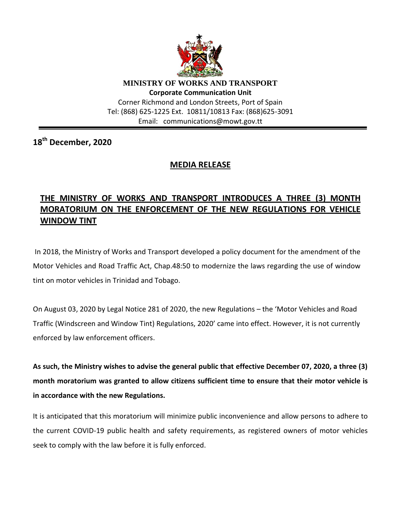

**MINISTRY OF WORKS AND TRANSPORT Corporate Communication Unit** Corner Richmond and London Streets, Port of Spain Tel: (868) 625-1225 Ext. 10811/10813 Fax: (868)625-3091 Email: communications@mowt.gov.tt

**18 th December, 2020**

## **MEDIA RELEASE**

## **THE MINISTRY OF WORKS AND TRANSPORT INTRODUCES A THREE (3) MONTH MORATORIUM ON THE ENFORCEMENT OF THE NEW REGULATIONS FOR VEHICLE WINDOW TINT**

In 2018, the Ministry of Works and Transport developed a policy document for the amendment of the Motor Vehicles and Road Traffic Act, Chap.48:50 to modernize the laws regarding the use of window tint on motor vehicles in Trinidad and Tobago.

On August 03, 2020 by Legal Notice 281 of 2020, the new Regulations – the 'Motor Vehicles and Road Traffic (Windscreen and Window Tint) Regulations, 2020' came into effect. However, it is not currently enforced by law enforcement officers.

**As such, the Ministry wishes to advise the general public that effective December 07, 2020, a three (3) month moratorium was granted to allow citizens sufficient time to ensure that their motor vehicle is in accordance with the new Regulations.**

It is anticipated that this moratorium will minimize public inconvenience and allow persons to adhere to the current COVID-19 public health and safety requirements, as registered owners of motor vehicles seek to comply with the law before it is fully enforced.